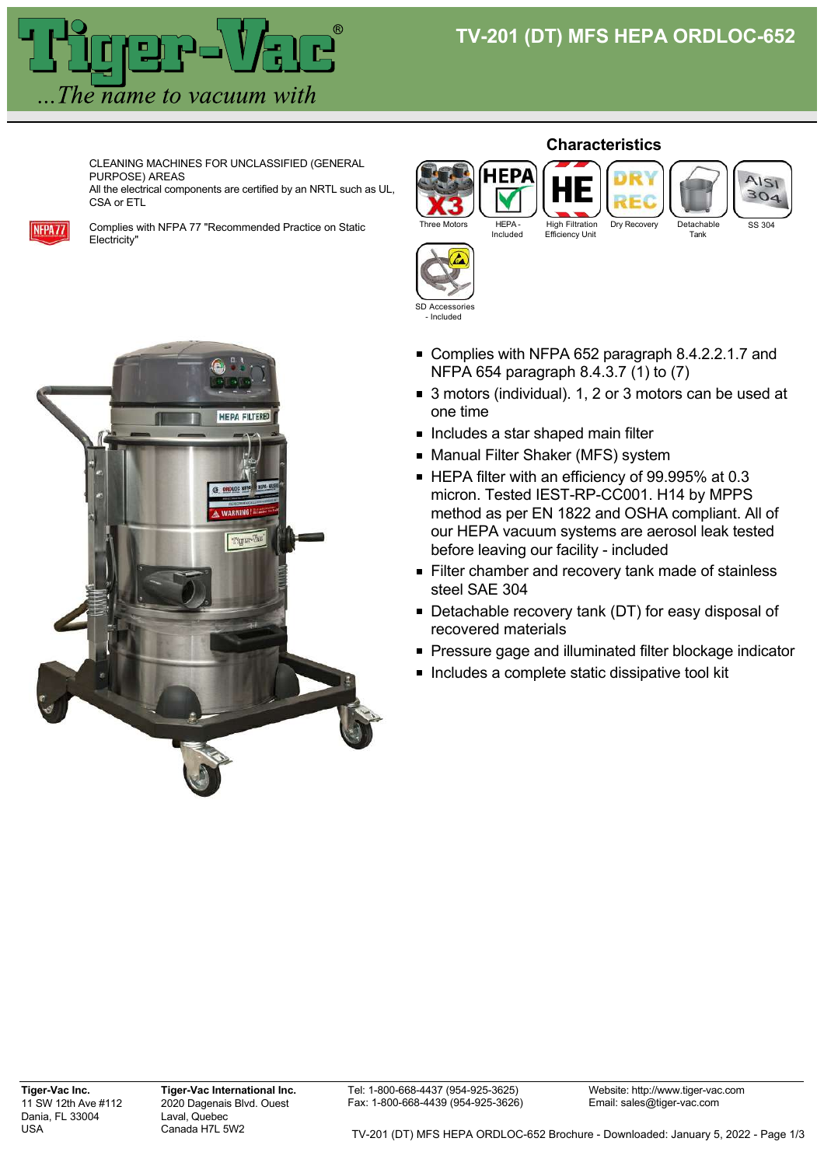## **TV-201 (DT) MFS HEPA ORDLOC-652**



CLEANING MACHINES FOR UNCLASSIFIED (GENERAL PURPOSE) AREAS

All the electrical components are certified by an NRTL such as UL, CSA or ETL



Complies with NFPA 77 "Recommended Practice on Static Electricity"



**Characteristics**



- Complies with NFPA 652 paragraph 8.4.2.2.1.7 and NFPA 654 paragraph 8.4.3.7 (1) to (7)
- 3 motors (individual), 1, 2 or 3 motors can be used at one time
- **Includes a star shaped main filter**

SD Accessories - Included

- Manual Filter Shaker (MFS) system
- HEPA filter with an efficiency of 99.995% at 0.3 micron. Tested IEST-RP-CC001. H14 by MPPS method as per EN 1822 and OSHA compliant. All of our HEPA vacuum systems are aerosol leak tested before leaving our facility - included
- Filter chamber and recovery tank made of stainless steel SAE 304
- Detachable recovery tank (DT) for easy disposal of recovered materials
- **Pressure gage and illuminated filter blockage indicator**
- **Includes a complete static dissipative tool kit**

Tel: 1-800-668-4437 (954-925-3625) Fax: 1-800-668-4439 (954-925-3626)

Website: http://www.tiger-vac.com Email: sales@tiger-vac.com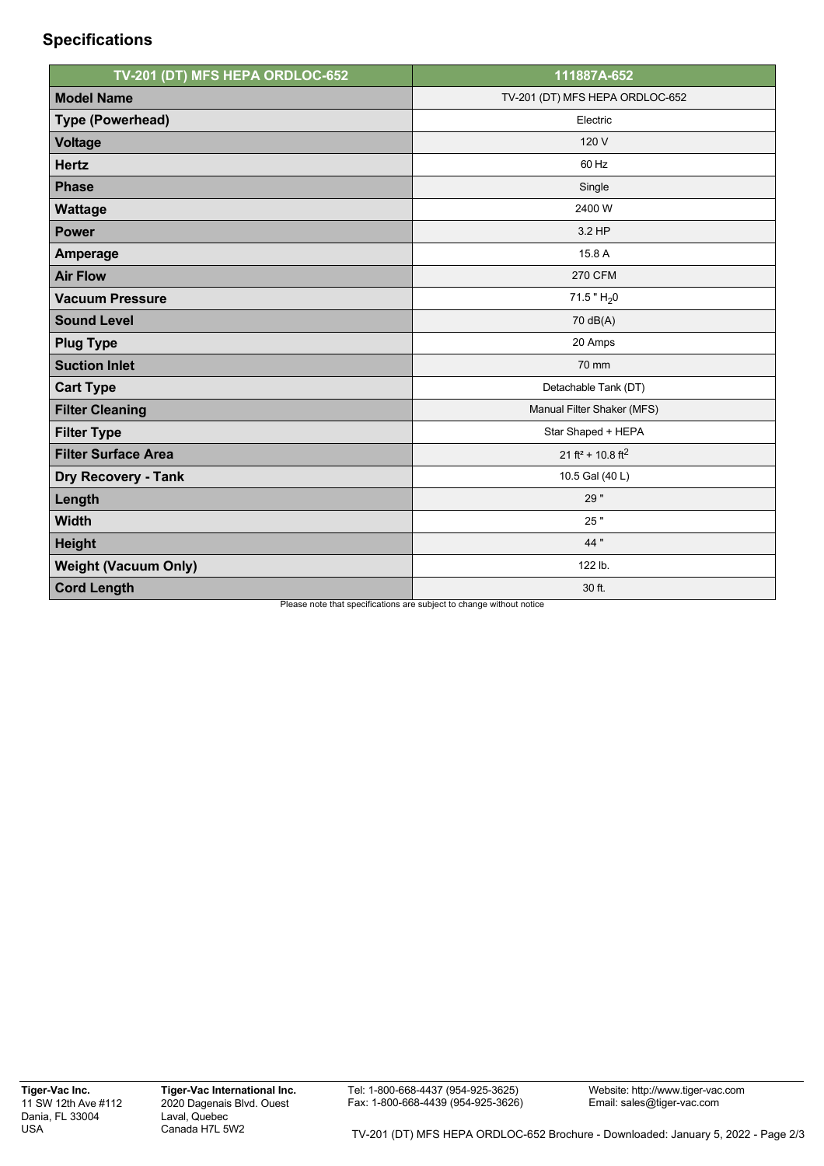## **Specifications**

| TV-201 (DT) MFS HEPA ORDLOC-652 | 111887A-652                                                                    |
|---------------------------------|--------------------------------------------------------------------------------|
| <b>Model Name</b>               | TV-201 (DT) MFS HEPA ORDLOC-652                                                |
| <b>Type (Powerhead)</b>         | Electric                                                                       |
| <b>Voltage</b>                  | 120 V                                                                          |
| <b>Hertz</b>                    | 60 Hz                                                                          |
| <b>Phase</b>                    | Single                                                                         |
| <b>Wattage</b>                  | 2400 W                                                                         |
| <b>Power</b>                    | 3.2 HP                                                                         |
| Amperage                        | 15.8 A                                                                         |
| <b>Air Flow</b>                 | <b>270 CFM</b>                                                                 |
| <b>Vacuum Pressure</b>          | 71.5 " $H_2$ 0                                                                 |
| <b>Sound Level</b>              | 70 dB(A)                                                                       |
| <b>Plug Type</b>                | 20 Amps                                                                        |
| <b>Suction Inlet</b>            | 70 mm                                                                          |
| <b>Cart Type</b>                | Detachable Tank (DT)                                                           |
| <b>Filter Cleaning</b>          | Manual Filter Shaker (MFS)                                                     |
| <b>Filter Type</b>              | Star Shaped + HEPA                                                             |
| <b>Filter Surface Area</b>      | 21 ft <sup>2</sup> + 10.8 ft <sup>2</sup>                                      |
| <b>Dry Recovery - Tank</b>      | 10.5 Gal (40 L)                                                                |
| Length                          | 29"                                                                            |
| <b>Width</b>                    | 25"                                                                            |
| <b>Height</b>                   | 44 "                                                                           |
| <b>Weight (Vacuum Only)</b>     | 122 lb.                                                                        |
| <b>Cord Length</b>              | 30 ft.<br>Discon note that anogifications are qubiest to obense without notice |

 $\mathbf s$ e note that specifications are subject to change without notice